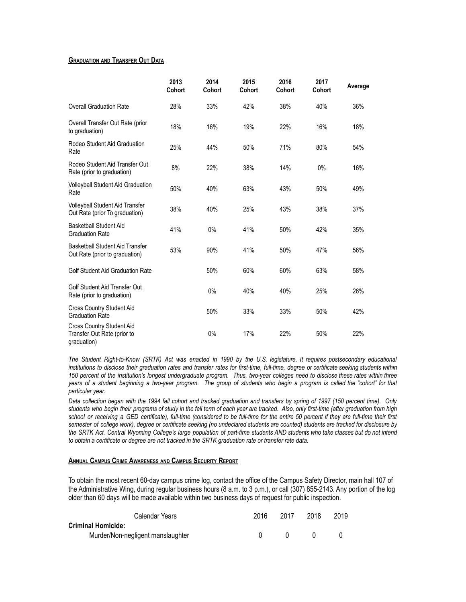## **GRADUATION AND TRANSFER OUT DATA**

|                                                                          | 2013<br><b>Cohort</b> | 2014<br><b>Cohort</b> | 2015<br><b>Cohort</b> | 2016<br><b>Cohort</b> | 2017<br><b>Cohort</b> | Average |
|--------------------------------------------------------------------------|-----------------------|-----------------------|-----------------------|-----------------------|-----------------------|---------|
| <b>Overall Graduation Rate</b>                                           | 28%                   | 33%                   | 42%                   | 38%                   | 40%                   | 36%     |
| Overall Transfer Out Rate (prior<br>to graduation)                       | 18%                   | 16%                   | 19%                   | 22%                   | 16%                   | 18%     |
| Rodeo Student Aid Graduation<br>Rate                                     | 25%                   | 44%                   | 50%                   | 71%                   | 80%                   | 54%     |
| Rodeo Student Aid Transfer Out<br>Rate (prior to graduation)             | 8%                    | 22%                   | 38%                   | 14%                   | $0\%$                 | 16%     |
| <b>Volleyball Student Aid Graduation</b><br>Rate                         | 50%                   | 40%                   | 63%                   | 43%                   | 50%                   | 49%     |
| Volleyball Student Aid Transfer<br>Out Rate (prior To graduation)        | 38%                   | 40%                   | 25%                   | 43%                   | 38%                   | 37%     |
| <b>Basketball Student Aid</b><br><b>Graduation Rate</b>                  | 41%                   | 0%                    | 41%                   | 50%                   | 42%                   | 35%     |
| <b>Basketball Student Aid Transfer</b><br>Out Rate (prior to graduation) | 53%                   | 90%                   | 41%                   | 50%                   | 47%                   | 56%     |
| <b>Golf Student Aid Graduation Rate</b>                                  |                       | 50%                   | 60%                   | 60%                   | 63%                   | 58%     |
| Golf Student Aid Transfer Out<br>Rate (prior to graduation)              |                       | 0%                    | 40%                   | 40%                   | 25%                   | 26%     |
| Cross Country Student Aid<br><b>Graduation Rate</b>                      |                       | 50%                   | 33%                   | 33%                   | 50%                   | 42%     |
| Cross Country Student Aid<br>Transfer Out Rate (prior to<br>graduation)  |                       | 0%                    | 17%                   | 22%                   | 50%                   | 22%     |

The Student Right-to-Know (SRTK) Act was enacted in 1990 by the U.S. legislature. It requires postsecondary educational institutions to disclose their graduation rates and transfer rates for first-time, full-time, degree or certificate seeking students within 150 percent of the institution's longest undergraduate program. Thus, two-year colleges need to disclose these rates within three years of a student beginning a two-year program. The group of students who begin a program is called the "cohort" for that *particular year.*

Data collection began with the 1994 fall cohort and tracked graduation and transfers by spring of 1997 (150 percent time). Only students who begin their programs of study in the fall term of each year are tracked. Also, only first-time (after graduation from high school or receiving a GED certificate), full-time (considered to be full-time for the entire 50 percent if they are full-time their first semester of college work), degree or certificate seeking (no undeclared students are counted) students are tracked for disclosure by the SRTK Act. Central Wyoming College's large population of part-time students AND students who take classes but do not intend *to obtain a certificate or degree are not tracked in the SRTK graduation rate or transfer rate data.*

## **ANNUAL CAMPUS CRIME AWARENESS AND CAMPUS SECURITY REPORT**

To obtain the most recent 60-day campus crime log, contact the office of the Campus Safety Director, main hall 107 of the Administrative Wing, during regular business hours (8 a.m. to 3 p.m.), or call (307) 855-2143. Any portion of the log older than 60 days will be made available within two business days of request for public inspection.

| Calendar Years                    | 2016 | 2017 | 2018 | 2019 |
|-----------------------------------|------|------|------|------|
| <b>Criminal Homicide:</b>         |      |      |      |      |
| Murder/Non-negligent manslaughter |      |      |      |      |